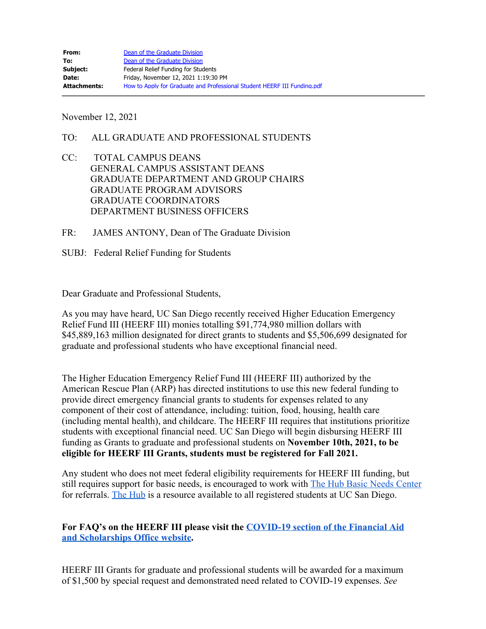November 12, 2021

- TO: ALL GRADUATE AND PROFESSIONAL STUDENTS
- CC: TOTAL CAMPUS DEANS GENERAL CAMPUS ASSISTANT DEANS GRADUATE DEPARTMENT AND GROUP CHAIRS GRADUATE PROGRAM ADVISORS GRADUATE COORDINATORS DEPARTMENT BUSINESS OFFICERS
- FR: JAMES ANTONY, Dean of The Graduate Division
- SUBJ: Federal Relief Funding for Students

Dear Graduate and Professional Students,

As you may have heard, UC San Diego recently received Higher Education Emergency Relief Fund III (HEERF III) monies totalling \$91,774,980 million dollars with \$45,889,163 million designated for direct grants to students and \$5,506,699 designated for graduate and professional students who have exceptional financial need.

The Higher Education Emergency Relief Fund III (HEERF III) authorized by the American Rescue Plan (ARP) has directed institutions to use this new federal funding to provide direct emergency financial grants to students for expenses related to any component of their cost of attendance, including: tuition, food, housing, health care (including mental health), and childcare. The HEERF III requires that institutions prioritize students with exceptional financial need. UC San Diego will begin disbursing HEERF III funding as Grants to graduate and professional students on **November 10th, 2021, to be eligible for HEERF III Grants, students must be registered for Fall 2021.**

Any student who does not meet federal eligibility requirements for HEERF III funding, but still requires support for basic needs, is encouraged to work with **The Hub Basic Needs Center** for referrals. [The Hub](https://basicneeds.ucsd.edu/) is a resource available to all registered students at UC San Diego.

**For FAQ's on the HEERF III please visit the [COVID-19 section of the Financial Aid](https://fas.ucsd.edu/COVID-19_faq.html) [and Scholarships Office website](https://fas.ucsd.edu/COVID-19_faq.html).**

HEERF III Grants for graduate and professional students will be awarded for a maximum of \$1,500 by special request and demonstrated need related to COVID-19 expenses. *See*